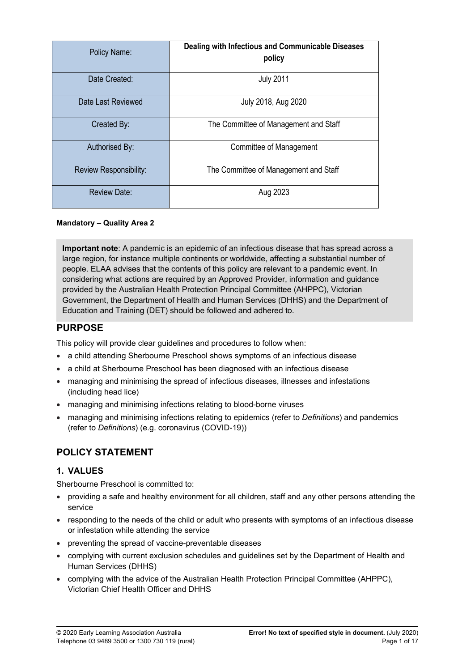| Policy Name:           | Dealing with Infectious and Communicable Diseases<br>policy |
|------------------------|-------------------------------------------------------------|
| Date Created:          | <b>July 2011</b>                                            |
| Date Last Reviewed     | July 2018, Aug 2020                                         |
| Created By:            | The Committee of Management and Staff                       |
| Authorised By:         | Committee of Management                                     |
| Review Responsibility: | The Committee of Management and Staff                       |
| <b>Review Date:</b>    | Aug 2023                                                    |

#### **Mandatory – Quality Area 2**

**Important note**: A pandemic is an epidemic of an infectious disease that has spread across a large region, for instance multiple continents or worldwide, affecting a substantial number of people. ELAA advises that the contents of this policy are relevant to a pandemic event. In considering what actions are required by an Approved Provider, information and guidance provided by the Australian Health Protection Principal Committee (AHPPC), Victorian Government, the Department of Health and Human Services (DHHS) and the Department of Education and Training (DET) should be followed and adhered to.

### **PURPOSE**

This policy will provide clear guidelines and procedures to follow when:

- a child attending Sherbourne Preschool shows symptoms of an infectious disease
- a child at Sherbourne Preschool has been diagnosed with an infectious disease
- managing and minimising the spread of infectious diseases, illnesses and infestations (including head lice)
- managing and minimising infections relating to blood-borne viruses
- managing and minimising infections relating to epidemics (refer to *Definitions*) and pandemics (refer to *Definitions*) (e.g. coronavirus (COVID-19))

## **POLICY STATEMENT**

### **1. VALUES**

Sherbourne Preschool is committed to:

- providing a safe and healthy environment for all children, staff and any other persons attending the service
- responding to the needs of the child or adult who presents with symptoms of an infectious disease or infestation while attending the service
- preventing the spread of vaccine-preventable diseases
- complying with current exclusion schedules and guidelines set by the Department of Health and Human Services (DHHS)
- complying with the advice of the Australian Health Protection Principal Committee (AHPPC), Victorian Chief Health Officer and DHHS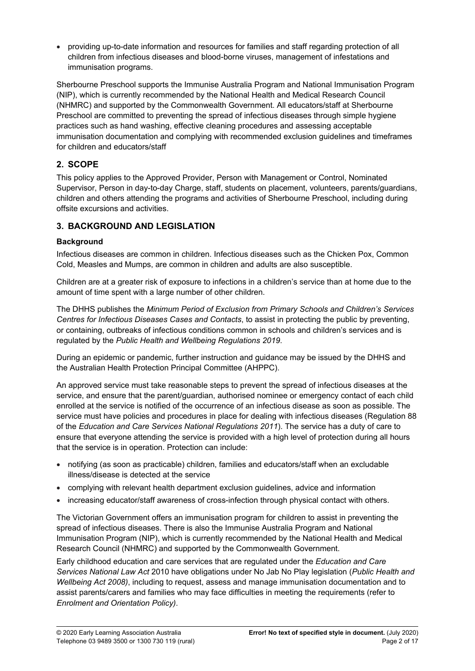providing up-to-date information and resources for families and staff regarding protection of all children from infectious diseases and blood-borne viruses, management of infestations and immunisation programs.

Sherbourne Preschool supports the Immunise Australia Program and National Immunisation Program (NIP), which is currently recommended by the National Health and Medical Research Council (NHMRC) and supported by the Commonwealth Government. All educators/staff at Sherbourne Preschool are committed to preventing the spread of infectious diseases through simple hygiene practices such as hand washing, effective cleaning procedures and assessing acceptable immunisation documentation and complying with recommended exclusion guidelines and timeframes for children and educators/staff

### **2. SCOPE**

This policy applies to the Approved Provider, Person with Management or Control, Nominated Supervisor, Person in day-to-day Charge, staff, students on placement, volunteers, parents/guardians, children and others attending the programs and activities of Sherbourne Preschool, including during offsite excursions and activities.

## **3. BACKGROUND AND LEGISLATION**

### **Background**

Infectious diseases are common in children. Infectious diseases such as the Chicken Pox, Common Cold, Measles and Mumps, are common in children and adults are also susceptible.

Children are at a greater risk of exposure to infections in a children's service than at home due to the amount of time spent with a large number of other children.

The DHHS publishes the *Minimum Period of Exclusion from Primary Schools and Children's Services Centres for Infectious Diseases Cases and Contacts*, to assist in protecting the public by preventing, or containing, outbreaks of infectious conditions common in schools and children's services and is regulated by the *Public Health and Wellbeing Regulations 2019*.<br>During an epidemic or pandemic, further instruction and guidance may be issued by the DHHS and

the Australian Health Protection Principal Committee (AHPPC).

An approved service must take reasonable steps to prevent the spread of infectious diseases at the service, and ensure that the parent/guardian, authorised nominee or emergency contact of each child enrolled at the service is notified of the occurrence of an infectious disease as soon as possible. The service must have policies and procedures in place for dealing with infectious diseases (Regulation 88 of the *Education and Care Services National Regulations 2011*). The service has a duty of care to ensure that everyone attending the service is provided with a high level of protection during all hours that the service is in operation. Protection can include:

- notifying (as soon as practicable) children, families and educators/staff when an excludable illness/disease is detected at the service
- complying with relevant health department exclusion guidelines, advice and information
- increasing educator/staff awareness of cross-infection through physical contact with others.

The Victorian Government offers an immunisation program for children to assist in preventing the spread of infectious diseases. There is also the Immunise Australia Program and National Immunisation Program (NIP), which is currently recommended by the National Health and Medical Research Council (NHMRC) and supported by the Commonwealth Government.

Early childhood education and care services that are regulated under the *Education and Care Services National Law Act* 2010 have obligations under No Jab No Play legislation (*Public Health and Wellbeing Act 2008)*, including to request, assess and manage immunisation documentation and to assist parents/carers and families who may face difficulties in meeting the requirements (refer to *Enrolment and Orientation Policy)*.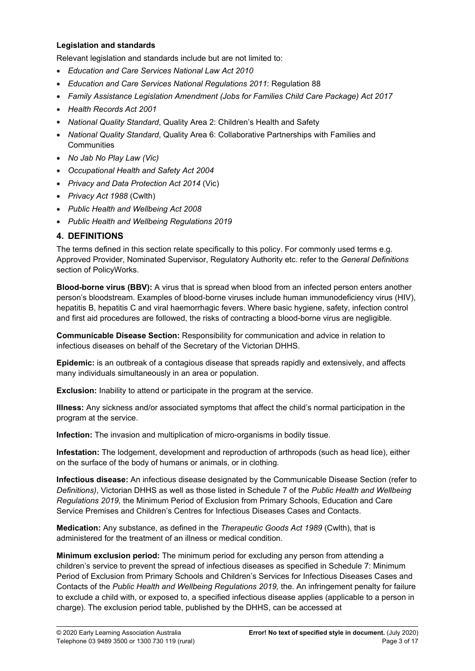#### **Legislation and standards**

Relevant legislation and standards include but are not limited to:

- *Education and Care Services National Law Act 2010*
- *Education and Care Services National Regulations 2011*: Regulation 88
- *Family Assistance Legislation Amendment (Jobs for Families Child Care Package) Act 2017*
- *Health Records Act 2001*
- *National Quality Standard*, Quality Area 2: Children's Health and Safety
- *National Quality Standard*, Quality Area 6: Collaborative Partnerships with Families and **Communities**
- *No Jab No Play Law (Vic)*
- *Occupational Health and Safety Act 2004*
- *Privacy and Data Protection Act 2014* (Vic)
- *Privacy Act 1988* (Cwlth)
- *Public Health and Wellbeing Act 2008*
- *Public Health and Wellbeing Regulations 2019*

### **4. DEFINITIONS**

The terms defined in this section relate specifically to this policy. For commonly used terms e.g. Approved Provider, Nominated Supervisor, Regulatory Authority etc. refer to the *General Definitions* section of PolicyWorks.

**Blood-borne virus (BBV):** A virus that is spread when blood from an infected person enters another person's bloodstream. Examples of blood-borne viruses include human immunodeficiency virus (HIV), hepatitis B, hepatitis C and viral haemorrhagic fevers. Where basic hygiene, safety, infection control and first aid procedures are followed, the risks of contracting a blood-borne virus are negligible.

**Communicable Disease Section:** Responsibility for communication and advice in relation to infectious diseases on behalf of the Secretary of the Victorian DHHS.

**Epidemic:** is an outbreak of a contagious disease that spreads rapidly and extensively, and affects many individuals simultaneously in an area or population.

**Exclusion:** Inability to attend or participate in the program at the service.

**Illness:** Any sickness and/or associated symptoms that affect the child's normal participation in the program at the service.

**Infection:** The invasion and multiplication of micro-organisms in bodily tissue.

**Infestation:** The lodgement, development and reproduction of arthropods (such as head lice), either on the surface of the body of humans or animals, or in clothing.

**Infectious disease:** An infectious disease designated by the Communicable Disease Section (refer to *Definitions)*, Victorian DHHS as well as those listed in Schedule 7 of the *Public Health and Wellbeing Regulations 2019,* the Minimum Period of Exclusion from Primary Schools, Education and Care Service Premises and Children's Centres for Infectious Diseases Cases and Contacts.

**Medication:** Any substance, as defined in the *Therapeutic Goods Act 1989* (Cwlth), that is administered for the treatment of an illness or medical condition.

**Minimum exclusion period:** The minimum period for excluding any person from attending a children's service to prevent the spread of infectious diseases as specified in Schedule 7: Minimum Period of Exclusion from Primary Schools and Children's Services for Infectious Diseases Cases and Contacts of the *Public Health and Wellbeing Regulations 2019,* the. An infringement penalty for failure to exclude a child with, or exposed to, a specified infectious disease applies (applicable to a person in charge). The exclusion period table, published by the DHHS, can be accessed at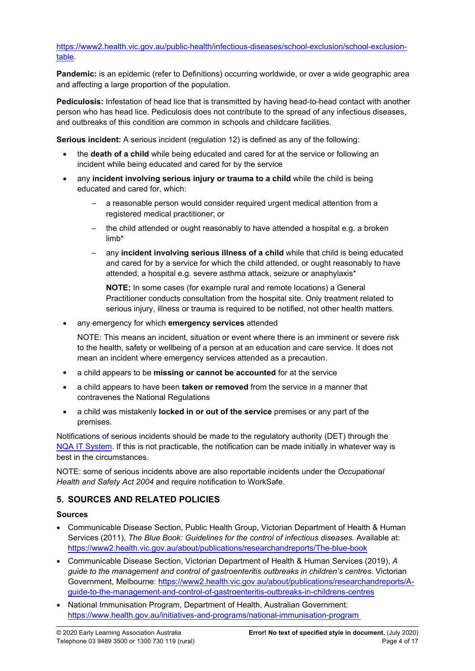[https://www2.health.vic.gov.au/public-health/infectious-diseases/school-exclusion/school-exclusion](https://www2.health.vic.gov.au/public-health/infectious-diseases/school-exclusion/school-exclusion-table)[table.](https://www2.health.vic.gov.au/public-health/infectious-diseases/school-exclusion/school-exclusion-table)

**Pandemic:** is an epidemic (refer to Definitions) occurring worldwide, or over a wide geographic area and affecting a large proportion of the population.

**Pediculosis:** Infestation of head lice that is transmitted by having head-to-head contact with another person who has head lice. Pediculosis does not contribute to the spread of any infectious diseases, and outbreaks of this condition are common in schools and childcare facilities.

**Serious incident:** A serious incident (regulation 12) is defined as any of the following:

- the **death of a child** while being educated and cared for at the service or following an incident while being educated and cared for by the service
- any **incident involving serious injury or trauma to a child** while the child is being educated and cared for, which:
	- a reasonable person would consider required urgent medical attention from a registered medical practitioner; or
	- the child attended or ought reasonably to have attended a hospital e.g. a broken limb\*
	- any **incident involving serious illness of a child** while that child is being educated and cared for by a service for which the child attended, or ought reasonably to have attended, a hospital e.g. severe asthma attack, seizure or anaphylaxis\*

**NOTE:** In some cases (for example rural and remote locations) a General Practitioner conducts consultation from the hospital site. Only treatment related to serious injury, illness or trauma is required to be notified, not other health matters.

any emergency for which **emergency services** attended

NOTE: This means an incident, situation or event where there is an imminent or severe risk to the health, safety or wellbeing of a person at an education and care service. It does not mean an incident where emergency services attended as a precaution.

- a child appears to be **missing or cannot be accounted** for at the service
- a child appears to have been **taken or removed** from the service in a manner that contravenes the National Regulations
- a child was mistakenly **locked in or out of the service** premises or any part of the premises.

Notifications of serious incidents should be made to the regulatory authority (DET) through the [NQA IT System](https://www.acecqa.gov.au/resources/national-quality-agenda-it-system). If this is not practicable, the notification can be made initially in whatever way is best in the circumstances.

NOTE: some of serious incidents above are also reportable incidents under the *Occupational Health and Safety Act 2004* and require notification to WorkSafe.

### **5. SOURCES AND RELATED POLICIES**

#### **Sources**

- Communicable Disease Section, Public Health Group, Victorian Department of Health & Human Services (2011), *The Blue Book: Guidelines for the control of infectious diseases.* Available at: <https://www2.health.vic.gov.au/about/publications/researchandreports/The-blue-book>
- Communicable Disease Section, Victorian Department of Health & Human Services (2019), *A guide to the management and control of gastroenteritis outbreaks in children's centres*. Victorian Government, Melbourne: [https://www2.health.vic.gov.au/about/publications/researchandreports/A](https://www2.health.vic.gov.au/about/publications/researchandreports/A-guide-to-the-management-and-control-of-gastroenteritis-outbreaks-in-childrens-centres)[guide-to-the-management-and-control-of-gastroenteritis-outbreaks-in-childrens-centres](https://www2.health.vic.gov.au/about/publications/researchandreports/A-guide-to-the-management-and-control-of-gastroenteritis-outbreaks-in-childrens-centres)
- National Immunisation Program, Department of Health, Australian Government: <https://www.health.gov.au/initiatives-and-programs/national-immunisation-program>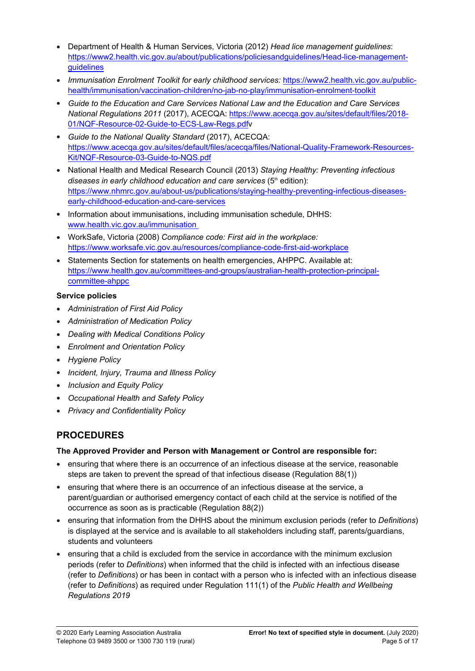- Department of Health & Human Services, Victoria (2012) *Head lice management guidelines*: [https://www2.health.vic.gov.au/about/publications/policiesandguidelines/Head-lice-management](https://www2.health.vic.gov.au/about/publications/policiesandguidelines/Head-lice-management-guidelines)[guidelines](https://www2.health.vic.gov.au/about/publications/policiesandguidelines/Head-lice-management-guidelines)
- *Immunisation Enrolment Toolkit for early childhood services:* [https://www2.health.vic.gov.au/public](https://www2.health.vic.gov.au/public-health/immunisation/vaccination-children/no-jab-no-play/immunisation-enrolment-toolkit)[health/immunisation/vaccination-children/no-jab-no-play/immunisation-enrolment-toolkit](https://www2.health.vic.gov.au/public-health/immunisation/vaccination-children/no-jab-no-play/immunisation-enrolment-toolkit)
- *Guide to the Education and Care Services National Law and the Education and Care Services National Regulations 2011* (2017), ACECQA: [https://www.acecqa.gov.au/sites/default/files/2018-](https://www.acecqa.gov.au/sites/default/files/2018-01/NQF-Resource-02-Guide-to-ECS-Law-Regs.pdf) [01/NQF-Resource-02-Guide-to-ECS-Law-Regs.pdf](https://www.acecqa.gov.au/sites/default/files/2018-01/NQF-Resource-02-Guide-to-ECS-Law-Regs.pdf)v
- *Guide to the National Quality Standard* (2017), ACECQA: [https://www.acecqa.gov.au/sites/default/files/acecqa/files/National-Quality-Framework-Resources-](https://www.acecqa.gov.au/sites/default/files/acecqa/files/National-Quality-Framework-Resources-Kit/NQF-Resource-03-Guide-to-NQS.pdf)[Kit/NQF-Resource-03-Guide-to-NQS.pdf](https://www.acecqa.gov.au/sites/default/files/acecqa/files/National-Quality-Framework-Resources-Kit/NQF-Resource-03-Guide-to-NQS.pdf)
- National Health and Medical Research Council (2013) *Staying Healthy: Preventing infectious diseases in early childhood education and care services* (5<sup>th</sup> edition): [https://www.nhmrc.gov.au/about-us/publications/staying-healthy-preventing-infectious-diseases](https://www.nhmrc.gov.au/about-us/publications/staying-healthy-preventing-infectious-diseases-early-childhood-education-and-care-services)[early-childhood-education-and-care-services](https://www.nhmrc.gov.au/about-us/publications/staying-healthy-preventing-infectious-diseases-early-childhood-education-and-care-services)
- Information about immunisations, including immunisation schedule, DHHS: [www.health.vic.gov.au/immunisation](http://www.health.vic.gov.au/immunisation)
- WorkSafe, Victoria (2008) *Compliance code: First aid in the workplace:*  <https://www.worksafe.vic.gov.au/resources/compliance-code-first-aid-workplace>
- Statements Section for statements on health emergencies, AHPPC. Available at: [https://www.health.gov.au/committees-and-groups/australian-health-protection-principal](https://www.health.gov.au/committees-and-groups/australian-health-protection-principal-committee-ahppc)[committee-ahppc](https://www.health.gov.au/committees-and-groups/australian-health-protection-principal-committee-ahppc)

### **Service policies**

- *Administration of First Aid Policy*
- *Administration of Medication Policy*
- *Dealing with Medical Conditions Policy*
- *Enrolment and Orientation Policy*
- *Hygiene Policy*
- *Incident, Injury, Trauma and Illness Policy*
- *Inclusion and Equity Policy*
- *Occupational Health and Safety Policy*
- *Privacy and Confidentiality Policy*

# **PROCEDURES**

### **The Approved Provider and Person with Management or Control are responsible for:**

- ensuring that where there is an occurrence of an infectious disease at the service, reasonable steps are taken to prevent the spread of that infectious disease (Regulation 88(1))
- ensuring that where there is an occurrence of an infectious disease at the service, a parent/guardian or authorised emergency contact of each child at the service is notified of the occurrence as soon as is practicable (Regulation 88(2))
- ensuring that information from the DHHS about the minimum exclusion periods (refer to *Definitions*) is displayed at the service and is available to all stakeholders including staff, parents/guardians, students and volunteers
- ensuring that a child is excluded from the service in accordance with the minimum exclusion periods (refer to *Definitions*) when informed that the child is infected with an infectious disease (refer to *Definitions*) or has been in contact with a person who is infected with an infectious disease (refer to *Definitions*) as required under Regulation 111(1) of the *Public Health and Wellbeing Regulations 2019*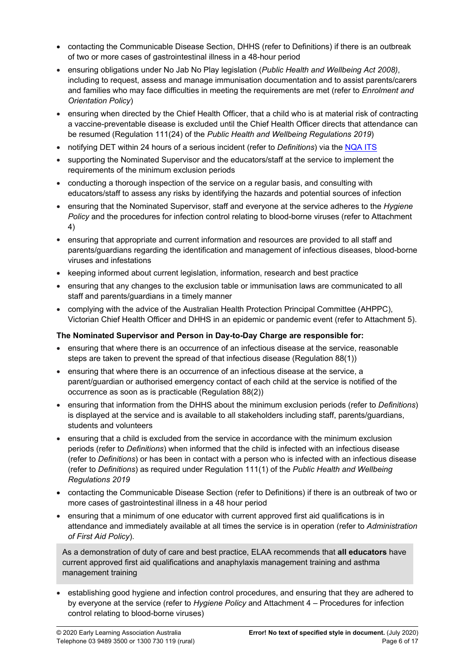- contacting the Communicable Disease Section, DHHS (refer to Definitions) if there is an outbreak of two or more cases of gastrointestinal illness in a 48-hour period
- ensuring obligations under No Jab No Play legislation (*Public Health and Wellbeing Act 2008)*, including to request, assess and manage immunisation documentation and to assist parents/carers and families who may face difficulties in meeting the requirements are met (refer to *Enrolment and Orientation Policy*)
- ensuring when directed by the Chief Health Officer, that a child who is at material risk of contracting a vaccine-preventable disease is excluded until the Chief Health Officer directs that attendance can be resumed (Regulation 111(24) of the *Public Health and Wellbeing Regulations 2019*)
- notifying DET within 24 hours of a serious incident (refer to *Definitions*) via the [NQA ITS](https://www.acecqa.gov.au/resources/national-quality-agenda-it-system)
- supporting the Nominated Supervisor and the educators/staff at the service to implement the requirements of the minimum exclusion periods
- conducting a thorough inspection of the service on a regular basis, and consulting with educators/staff to assess any risks by identifying the hazards and potential sources of infection
- ensuring that the Nominated Supervisor, staff and everyone at the service adheres to the *Hygiene Policy* and the procedures for infection control relating to blood-borne viruses (refer to Attachment 4)
- ensuring that appropriate and current information and resources are provided to all staff and parents/guardians regarding the identification and management of infectious diseases, blood-borne viruses and infestations
- keeping informed about current legislation, information, research and best practice
- ensuring that any changes to the exclusion table or immunisation laws are communicated to all staff and parents/guardians in a timely manner
- complying with the advice of the Australian Health Protection Principal Committee (AHPPC), Victorian Chief Health Officer and DHHS in an epidemic or pandemic event (refer to Attachment 5).

#### **The Nominated Supervisor and Person in Day-to-Day Charge are responsible for:**

- ensuring that where there is an occurrence of an infectious disease at the service, reasonable steps are taken to prevent the spread of that infectious disease (Regulation 88(1))
- ensuring that where there is an occurrence of an infectious disease at the service, a parent/guardian or authorised emergency contact of each child at the service is notified of the occurrence as soon as is practicable (Regulation 88(2))
- ensuring that information from the DHHS about the minimum exclusion periods (refer to *Definitions*) is displayed at the service and is available to all stakeholders including staff, parents/guardians, students and volunteers
- ensuring that a child is excluded from the service in accordance with the minimum exclusion periods (refer to *Definitions*) when informed that the child is infected with an infectious disease (refer to *Definitions*) or has been in contact with a person who is infected with an infectious disease (refer to *Definitions*) as required under Regulation 111(1) of the *Public Health and Wellbeing Regulations 2019*
- contacting the Communicable Disease Section (refer to Definitions) if there is an outbreak of two or more cases of gastrointestinal illness in a 48 hour period
- ensuring that a minimum of one educator with current approved first aid qualifications is in attendance and immediately available at all times the service is in operation (refer to *Administration of First Aid Policy*).

As a demonstration of duty of care and best practice, ELAA recommends that **all educators** have current approved first aid qualifications and anaphylaxis management training and asthma management training

 establishing good hygiene and infection control procedures, and ensuring that they are adhered to by everyone at the service (refer to *Hygiene Policy* and Attachment 4 – Procedures for infection control relating to blood-borne viruses)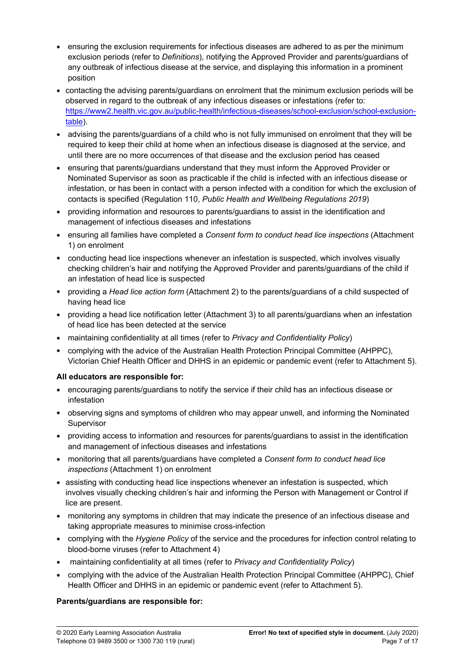- ensuring the exclusion requirements for infectious diseases are adhered to as per the minimum exclusion periods (refer to *Definitions*), notifying the Approved Provider and parents/guardians of any outbreak of infectious disease at the service, and displaying this information in a prominent position
- contacting the advising parents/guardians on enrolment that the minimum exclusion periods will be observed in regard to the outbreak of any infectious diseases or infestations (refer to: [https://www2.health.vic.gov.au/public-health/infectious-diseases/school-exclusion/school-exclusion](https://www2.health.vic.gov.au/public-health/infectious-diseases/school-exclusion/school-exclusion-table)[table\)](https://www2.health.vic.gov.au/public-health/infectious-diseases/school-exclusion/school-exclusion-table).
- advising the parents/guardians of a child who is not fully immunised on enrolment that they will be required to keep their child at home when an infectious disease is diagnosed at the service, and until there are no more occurrences of that disease and the exclusion period has ceased
- ensuring that parents/guardians understand that they must inform the Approved Provider or Nominated Supervisor as soon as practicable if the child is infected with an infectious disease or infestation, or has been in contact with a person infected with a condition for which the exclusion of contacts is specified (Regulation 110, *Public Health and Wellbeing Regulations 2019*)
- providing information and resources to parents/guardians to assist in the identification and management of infectious diseases and infestations
- ensuring all families have completed a *Consent form to conduct head lice inspections* (Attachment 1) on enrolment
- conducting head lice inspections whenever an infestation is suspected, which involves visually checking children's hair and notifying the Approved Provider and parents/guardians of the child if an infestation of head lice is suspected
- providing a *Head lice action form* (Attachment 2) to the parents/guardians of a child suspected of having head lice
- providing a head lice notification letter (Attachment 3) to all parents/guardians when an infestation of head lice has been detected at the service
- maintaining confidentiality at all times (refer to *Privacy and Confidentiality Policy*)
- complying with the advice of the Australian Health Protection Principal Committee (AHPPC), Victorian Chief Health Officer and DHHS in an epidemic or pandemic event (refer to Attachment 5).

#### **All educators are responsible for:**

- encouraging parents/guardians to notify the service if their child has an infectious disease or infestation
- observing signs and symptoms of children who may appear unwell, and informing the Nominated Supervisor
- providing access to information and resources for parents/guardians to assist in the identification and management of infectious diseases and infestations
- monitoring that all parents/guardians have completed a *Consent form to conduct head lice inspections* (Attachment 1) on enrolment
- assisting with conducting head lice inspections whenever an infestation is suspected, which involves visually checking children's hair and informing the Person with Management or Control if lice are present.
- monitoring any symptoms in children that may indicate the presence of an infectious disease and taking appropriate measures to minimise cross-infection
- complying with the *Hygiene Policy* of the service and the procedures for infection control relating to blood-borne viruses (refer to Attachment 4)
- maintaining confidentiality at all times (refer to *Privacy and Confidentiality Policy*)
- complying with the advice of the Australian Health Protection Principal Committee (AHPPC), Chief Health Officer and DHHS in an epidemic or pandemic event (refer to Attachment 5).

#### **Parents/guardians are responsible for:**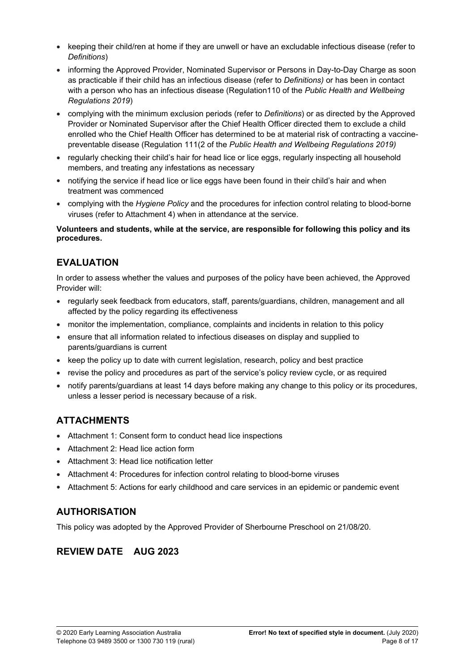- keeping their child/ren at home if they are unwell or have an excludable infectious disease (refer to *Definitions*)
- informing the Approved Provider, Nominated Supervisor or Persons in Day-to-Day Charge as soon as practicable if their child has an infectious disease (refer to *Definitions)* or has been in contact with a person who has an infectious disease (Regulation110 of the *Public Health and Wellbeing Regulations 2019*)
- complying with the minimum exclusion periods (refer to *Definitions*) or as directed by the Approved Provider or Nominated Supervisor after the Chief Health Officer directed them to exclude a child enrolled who the Chief Health Officer has determined to be at material risk of contracting a vaccinepreventable disease (Regulation 111(2 of the *Public Health and Wellbeing Regulations 2019)*
- regularly checking their child's hair for head lice or lice eggs, regularly inspecting all household members, and treating any infestations as necessary
- notifying the service if head lice or lice eggs have been found in their child's hair and when treatment was commenced
- complying with the *Hygiene Policy* and the procedures for infection control relating to blood-borne viruses (refer to Attachment 4) when in attendance at the service.

#### **Volunteers and students, while at the service, are responsible for following this policy and its procedures.**

# **EVALUATION**

In order to assess whether the values and purposes of the policy have been achieved, the Approved Provider will:

- regularly seek feedback from educators, staff, parents/guardians, children, management and all affected by the policy regarding its effectiveness
- monitor the implementation, compliance, complaints and incidents in relation to this policy
- ensure that all information related to infectious diseases on display and supplied to parents/guardians is current
- keep the policy up to date with current legislation, research, policy and best practice
- revise the policy and procedures as part of the service's policy review cycle, or as required
- notify parents/guardians at least 14 days before making any change to this policy or its procedures, unless a lesser period is necessary because of a risk.

# **ATTACHMENTS**

- Attachment 1: Consent form to conduct head lice inspections
- Attachment 2: Head lice action form
- Attachment 3: Head lice notification letter
- Attachment 4: Procedures for infection control relating to blood-borne viruses
- Attachment 5: Actions for early childhood and care services in an epidemic or pandemic event

# **AUTHORISATION**

This policy was adopted by the Approved Provider of Sherbourne Preschool on 21/08/20.

# **REVIEW DATE AUG 2023**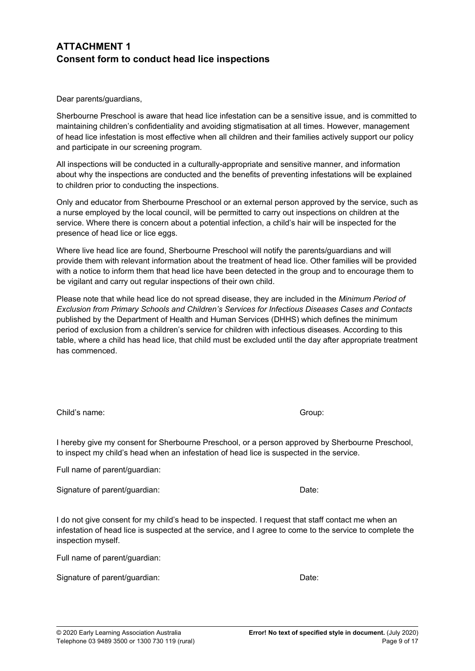## **ATTACHMENT 1 Consent form to conduct head lice inspections**

Dear parents/guardians,

Sherbourne Preschool is aware that head lice infestation can be a sensitive issue, and is committed to maintaining children's confidentiality and avoiding stigmatisation at all times. However, management of head lice infestation is most effective when all children and their families actively support our policy and participate in our screening program.

All inspections will be conducted in a culturally-appropriate and sensitive manner, and information about why the inspections are conducted and the benefits of preventing infestations will be explained to children prior to conducting the inspections.

Only and educator from Sherbourne Preschool or an external person approved by the service, such as a nurse employed by the local council, will be permitted to carry out inspections on children at the service. Where there is concern about a potential infection, a child's hair will be inspected for the presence of head lice or lice eggs.

Where live head lice are found, Sherbourne Preschool will notify the parents/guardians and will provide them with relevant information about the treatment of head lice. Other families will be provided with a notice to inform them that head lice have been detected in the group and to encourage them to be vigilant and carry out regular inspections of their own child.

Please note that while head lice do not spread disease, they are included in the *Minimum Period of Exclusion from Primary Schools and Children's Services for Infectious Diseases Cases and Contacts* published by the Department of Health and Human Services (DHHS) which defines the minimum period of exclusion from a children's service for children with infectious diseases. According to this table, where a child has head lice, that child must be excluded until the day after appropriate treatment has commenced.

Child's name: Group:

I hereby give my consent for Sherbourne Preschool, or a person approved by Sherbourne Preschool, to inspect my child's head when an infestation of head lice is suspected in the service.

Full name of parent/guardian:

Signature of parent/guardian: Date:

I do not give consent for my child's head to be inspected. I request that staff contact me when an infestation of head lice is suspected at the service, and I agree to come to the service to complete the inspection myself.

Full name of parent/guardian:

Signature of parent/guardian: Date: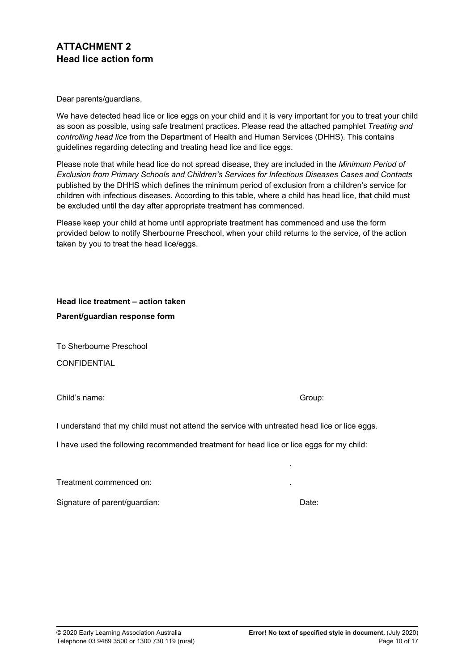## **ATTACHMENT 2 Head lice action form**

Dear parents/guardians,

We have detected head lice or lice eggs on your child and it is very important for you to treat your child as soon as possible, using safe treatment practices. Please read the attached pamphlet *Treating and controlling head lice* from the Department of Health and Human Services (DHHS). This contains guidelines regarding detecting and treating head lice and lice eggs.

Please note that while head lice do not spread disease, they are included in the *Minimum Period of Exclusion from Primary Schools and Children's Services for Infectious Diseases Cases and Contacts* published by the DHHS which defines the minimum period of exclusion from a children's service for children with infectious diseases. According to this table, where a child has head lice, that child must be excluded until the day after appropriate treatment has commenced.

Please keep your child at home until appropriate treatment has commenced and use the form provided below to notify Sherbourne Preschool, when your child returns to the service, of the action taken by you to treat the head lice/eggs.

**Head lice treatment – action taken Parent/guardian response form**

To Sherbourne Preschool **CONFIDENTIAL** 

Child's name: Group:

.

I understand that my child must not attend the service with untreated head lice or lice eggs.

I have used the following recommended treatment for head lice or lice eggs for my child:

Treatment commenced on: .

Signature of parent/guardian: Date: Date: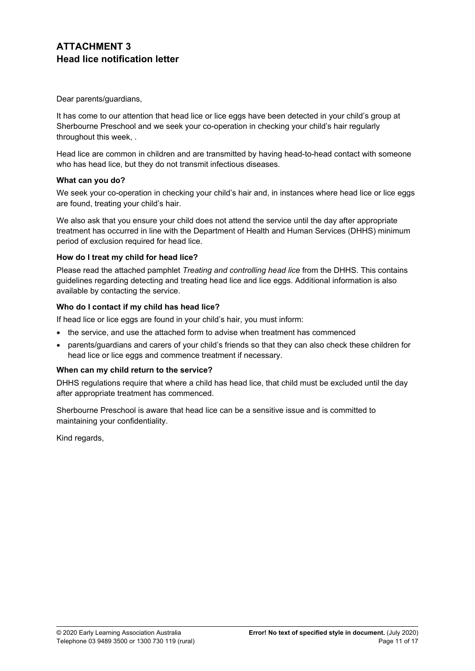## **ATTACHMENT 3 Head lice notification letter**

Dear parents/guardians,

It has come to our attention that head lice or lice eggs have been detected in your child's group at Sherbourne Preschool and we seek your co-operation in checking your child's hair regularly throughout this week, .

Head lice are common in children and are transmitted by having head-to-head contact with someone who has head lice, but they do not transmit infectious diseases.

#### **What can you do?**

We seek your co-operation in checking your child's hair and, in instances where head lice or lice eggs are found, treating your child's hair.

We also ask that you ensure your child does not attend the service until the day after appropriate treatment has occurred in line with the Department of Health and Human Services (DHHS) minimum period of exclusion required for head lice.

#### **How do I treat my child for head lice?**

Please read the attached pamphlet *Treating and controlling head lice* from the DHHS. This contains guidelines regarding detecting and treating head lice and lice eggs. Additional information is also available by contacting the service.

#### **Who do I contact if my child has head lice?**

If head lice or lice eggs are found in your child's hair, you must inform:

- the service, and use the attached form to advise when treatment has commenced
- parents/guardians and carers of your child's friends so that they can also check these children for head lice or lice eggs and commence treatment if necessary.

#### **When can my child return to the service?**

DHHS regulations require that where a child has head lice, that child must be excluded until the day after appropriate treatment has commenced.

Sherbourne Preschool is aware that head lice can be a sensitive issue and is committed to maintaining your confidentiality.

Kind regards,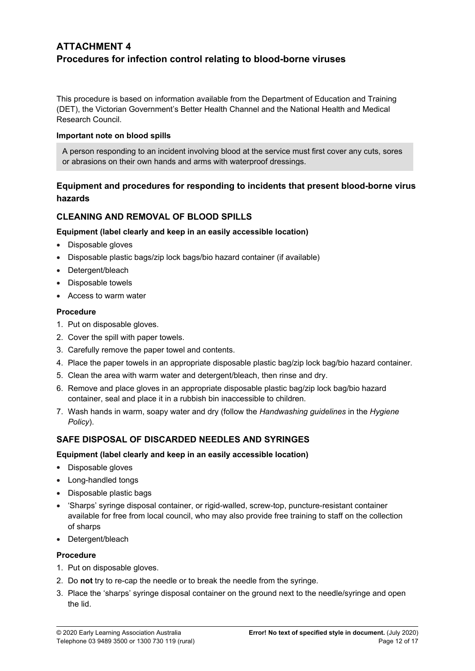## **ATTACHMENT 4 Procedures for infection control relating to blood-borne viruses**

This procedure is based on information available from the Department of Education and Training (DET), the Victorian Government's Better Health Channel and the National Health and Medical Research Council.

#### **Important note on blood spills**

A person responding to an incident involving blood at the service must first cover any cuts, sores or abrasions on their own hands and arms with waterproof dressings.

### **Equipment and procedures for responding to incidents that present blood-borne virus hazards**

### **CLEANING AND REMOVAL OF BLOOD SPILLS**

#### **Equipment (label clearly and keep in an easily accessible location)**

- Disposable gloves
- Disposable plastic bags/zip lock bags/bio hazard container (if available)
- Detergent/bleach
- Disposable towels
- Access to warm water

#### **Procedure**

- 1. Put on disposable gloves.
- 2. Cover the spill with paper towels.
- 3. Carefully remove the paper towel and contents.
- 4. Place the paper towels in an appropriate disposable plastic bag/zip lock bag/bio hazard container.
- 5. Clean the area with warm water and detergent/bleach, then rinse and dry.
- 6. Remove and place gloves in an appropriate disposable plastic bag/zip lock bag/bio hazard container, seal and place it in a rubbish bin inaccessible to children.
- 7. Wash hands in warm, soapy water and dry (follow the *Handwashing guidelines* in the *Hygiene Policy*).

### **SAFE DISPOSAL OF DISCARDED NEEDLES AND SYRINGES**

#### **Equipment (label clearly and keep in an easily accessible location)**

- Disposable gloves
- Long-handled tongs
- Disposable plastic bags
- 'Sharps' syringe disposal container, or rigid-walled, screw-top, puncture-resistant container available for free from local council, who may also provide free training to staff on the collection of sharps
- Detergent/bleach

#### **Procedure**

- 1. Put on disposable gloves.
- 2. Do **not** try to re-cap the needle or to break the needle from the syringe.
- 3. Place the 'sharps' syringe disposal container on the ground next to the needle/syringe and open the lid.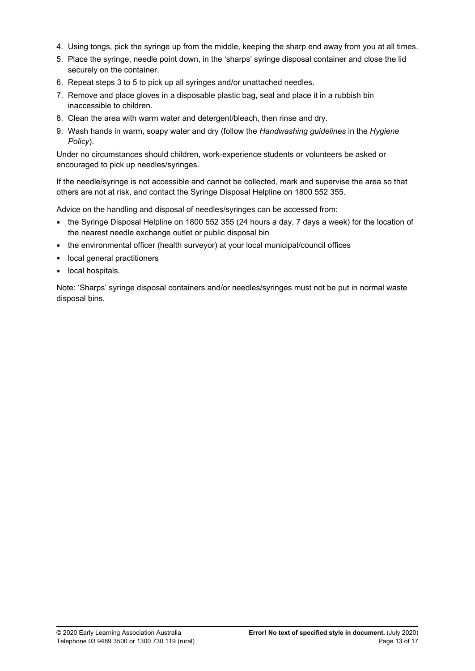- 4. Using tongs, pick the syringe up from the middle, keeping the sharp end away from you at all times.
- 5. Place the syringe, needle point down, in the 'sharps' syringe disposal container and close the lid securely on the container.
- 6. Repeat steps 3 to 5 to pick up all syringes and/or unattached needles.
- 7. Remove and place gloves in a disposable plastic bag, seal and place it in a rubbish bin inaccessible to children.
- 8. Clean the area with warm water and detergent/bleach, then rinse and dry.
- 9. Wash hands in warm, soapy water and dry (follow the *Handwashing guidelines* in the *Hygiene Policy*).

Under no circumstances should children, work-experience students or volunteers be asked or encouraged to pick up needles/syringes.

If the needle/syringe is not accessible and cannot be collected, mark and supervise the area so that others are not at risk, and contact the Syringe Disposal Helpline on 1800 552 355.

Advice on the handling and disposal of needles/syringes can be accessed from:

- the Syringe Disposal Helpline on 1800 552 355 (24 hours a day, 7 days a week) for the location of the nearest needle exchange outlet or public disposal bin
- the environmental officer (health surveyor) at your local municipal/council offices
- local general practitioners
- local hospitals.

Note: 'Sharps' syringe disposal containers and/or needles/syringes must not be put in normal waste disposal bins.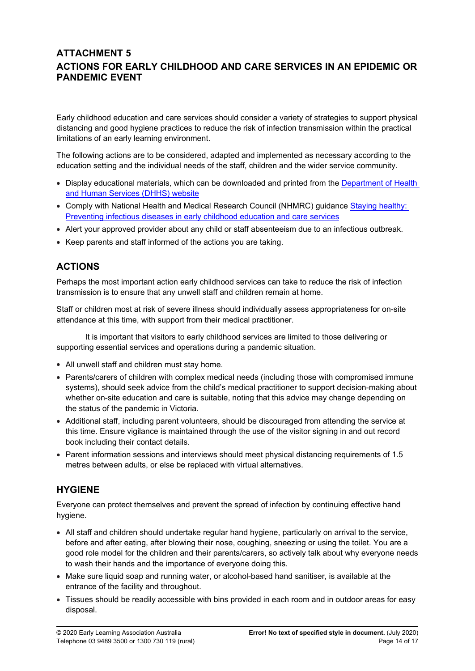## **ATTACHMENT 5 ACTIONS FOR EARLY CHILDHOOD AND CARE SERVICES IN AN EPIDEMIC OR PANDEMIC EVENT**

Early childhood education and care services should consider a variety of strategies to support physical distancing and good hygiene practices to reduce the risk of infection transmission within the practical limitations of an early learning environment.

The following actions are to be considered, adapted and implemented as necessary according to the education setting and the individual needs of the staff, children and the wider service community.

- Display educational materials, which can be downloaded and printed from the Department of Health [and Human Services \(DHHS\) website](http://www.dhhs.vic.gov.au/coronavirus)
- Comply with National Health and Medical Research Council (NHMRC) guidance [Staying healthy:](https://www.nhmrc.gov.au/about-us/publications/staying-healthy-preventing-infectious-diseases-early-childhood-education-and-care-services)  [Preventing infectious diseases in early childhood education and care services](https://www.nhmrc.gov.au/about-us/publications/staying-healthy-preventing-infectious-diseases-early-childhood-education-and-care-services)
- Alert your approved provider about any child or staff absenteeism due to an infectious outbreak.
- Keep parents and staff informed of the actions you are taking.

# **ACTIONS**

Perhaps the most important action early childhood services can take to reduce the risk of infection transmission is to ensure that any unwell staff and children remain at home.

Staff or children most at risk of severe illness should individually assess appropriateness for on-site attendance at this time, with support from their medical practitioner.

It is important that visitors to early childhood services are limited to those delivering or supporting essential services and operations during a pandemic situation.

- All unwell staff and children must stay home.
- Parents/carers of children with complex medical needs (including those with compromised immune systems), should seek advice from the child's medical practitioner to support decision-making about whether on-site education and care is suitable, noting that this advice may change depending on the status of the pandemic in Victoria.
- Additional staff, including parent volunteers, should be discouraged from attending the service at this time. Ensure vigilance is maintained through the use of the visitor signing in and out record book including their contact details.
- Parent information sessions and interviews should meet physical distancing requirements of 1.5 metres between adults, or else be replaced with virtual alternatives.

## **HYGIENE**

Everyone can protect themselves and prevent the spread of infection by continuing effective hand hygiene.

- All staff and children should undertake regular hand hygiene, particularly on arrival to the service, before and after eating, after blowing their nose, coughing, sneezing or using the toilet. You are a good role model for the children and their parents/carers, so actively talk about why everyone needs to wash their hands and the importance of everyone doing this.
- Make sure liquid soap and running water, or alcohol-based hand sanitiser, is available at the entrance of the facility and throughout.
- Tissues should be readily accessible with bins provided in each room and in outdoor areas for easy disposal.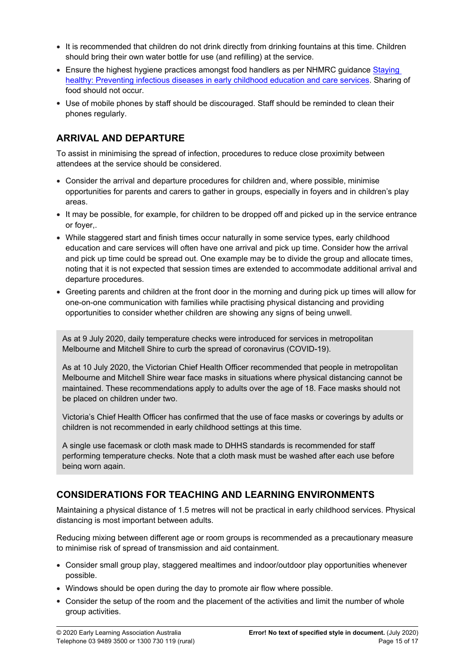- It is recommended that children do not drink directly from drinking fountains at this time. Children should bring their own water bottle for use (and refilling) at the service.
- **Ensure the highest hygiene practices amongst food handlers as per NHMRC guidance Staying** [healthy: Preventing infectious diseases in early childhood education and care services](https://www.nhmrc.gov.au/about-us/publications/staying-healthy-preventing-infectious-diseases-early-childhood-education-and-care-services). Sharing of food should not occur.
- Use of mobile phones by staff should be discouraged. Staff should be reminded to clean their phones regularly.

## **ARRIVAL AND DEPARTURE**

To assist in minimising the spread of infection, procedures to reduce close proximity between attendees at the service should be considered.

- Consider the arrival and departure procedures for children and, where possible, minimise opportunities for parents and carers to gather in groups, especially in foyers and in children's play areas.
- It may be possible, for example, for children to be dropped off and picked up in the service entrance or foyer,.
- While staggered start and finish times occur naturally in some service types, early childhood education and care services will often have one arrival and pick up time. Consider how the arrival and pick up time could be spread out. One example may be to divide the group and allocate times, noting that it is not expected that session times are extended to accommodate additional arrival and departure procedures.
- Greeting parents and children at the front door in the morning and during pick up times will allow for one-on-one communication with families while practising physical distancing and providing opportunities to consider whether children are showing any signs of being unwell.

As at 9 July 2020, daily temperature checks were introduced for services in metropolitan Melbourne and Mitchell Shire to curb the spread of coronavirus (COVID-19).

As at 10 July 2020, the Victorian Chief Health Officer recommended that people in metropolitan Melbourne and Mitchell Shire wear face masks in situations where physical distancing cannot be maintained. These recommendations apply to adults over the age of 18. Face masks should not be placed on children under two.

Victoria's Chief Health Officer has confirmed that the use of face masks or coverings by adults or children is not recommended in early childhood settings at this time.

A single use facemask or cloth mask made to DHHS standards is recommended for staff performing temperature checks. Note that a cloth mask must be washed after each use before being worn again.

## **CONSIDERATIONS FOR TEACHING AND LEARNING ENVIRONMENTS**

Maintaining a physical distance of 1.5 metres will not be practical in early childhood services. Physical distancing is most important between adults.

Reducing mixing between different age or room groups is recommended as a precautionary measure to minimise risk of spread of transmission and aid containment.

- Consider small group play, staggered mealtimes and indoor/outdoor play opportunities whenever possible.
- Windows should be open during the day to promote air flow where possible.
- Consider the setup of the room and the placement of the activities and limit the number of whole group activities.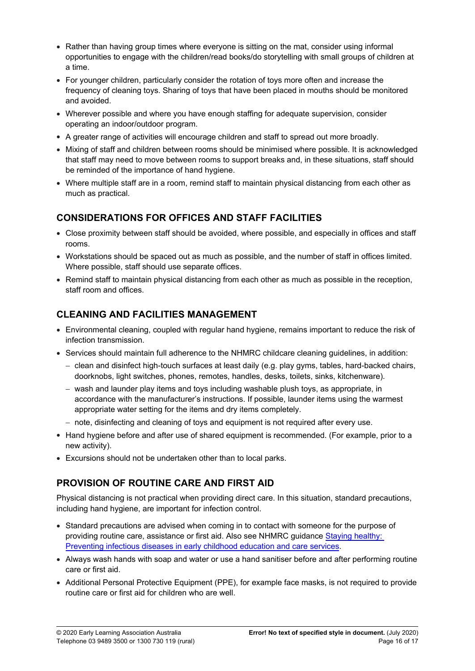- Rather than having group times where everyone is sitting on the mat, consider using informal opportunities to engage with the children/read books/do storytelling with small groups of children at a time.
- For younger children, particularly consider the rotation of toys more often and increase the frequency of cleaning toys. Sharing of toys that have been placed in mouths should be monitored and avoided.
- Wherever possible and where you have enough staffing for adequate supervision, consider operating an indoor/outdoor program.
- A greater range of activities will encourage children and staff to spread out more broadly.
- Mixing of staff and children between rooms should be minimised where possible. It is acknowledged that staff may need to move between rooms to support breaks and, in these situations, staff should be reminded of the importance of hand hygiene.
- Where multiple staff are in a room, remind staff to maintain physical distancing from each other as much as practical.

# **CONSIDERATIONS FOR OFFICES AND STAFF FACILITIES**

- Close proximity between staff should be avoided, where possible, and especially in offices and staff rooms.
- Workstations should be spaced out as much as possible, and the number of staff in offices limited. Where possible, staff should use separate offices.
- Remind staff to maintain physical distancing from each other as much as possible in the reception, staff room and offices.

# **CLEANING AND FACILITIES MANAGEMENT**

- Environmental cleaning, coupled with regular hand hygiene, remains important to reduce the risk of infection transmission.
- Services should maintain full adherence to the NHMRC childcare cleaning guidelines, in addition:
	- clean and disinfect high-touch surfaces at least daily (e.g. play gyms, tables, hard-backed chairs, doorknobs, light switches, phones, remotes, handles, desks, toilets, sinks, kitchenware).
	- $-$  wash and launder play items and toys including washable plush toys, as appropriate, in accordance with the manufacturer's instructions. If possible, launder items using the warmest appropriate water setting for the items and dry items completely.
	- $-$  note, disinfecting and cleaning of toys and equipment is not required after every use.
- Hand hygiene before and after use of shared equipment is recommended. (For example, prior to a new activity).
- Excursions should not be undertaken other than to local parks.

# **PROVISION OF ROUTINE CARE AND FIRST AID**

Physical distancing is not practical when providing direct care. In this situation, standard precautions, including hand hygiene, are important for infection control.

- Standard precautions are advised when coming in to contact with someone for the purpose of providing routine care, assistance or first aid. Also see NHMRC guidance [Staying healthy:](https://www.nhmrc.gov.au/about-us/publications/staying-healthy-preventing-infectious-diseases-early-childhood-education-and-care-services)  [Preventing infectious diseases in early childhood education and care services](https://www.nhmrc.gov.au/about-us/publications/staying-healthy-preventing-infectious-diseases-early-childhood-education-and-care-services).
- Always wash hands with soap and water or use a hand sanitiser before and after performing routine care or first aid.
- Additional Personal Protective Equipment (PPE), for example face masks, is not required to provide routine care or first aid for children who are well.